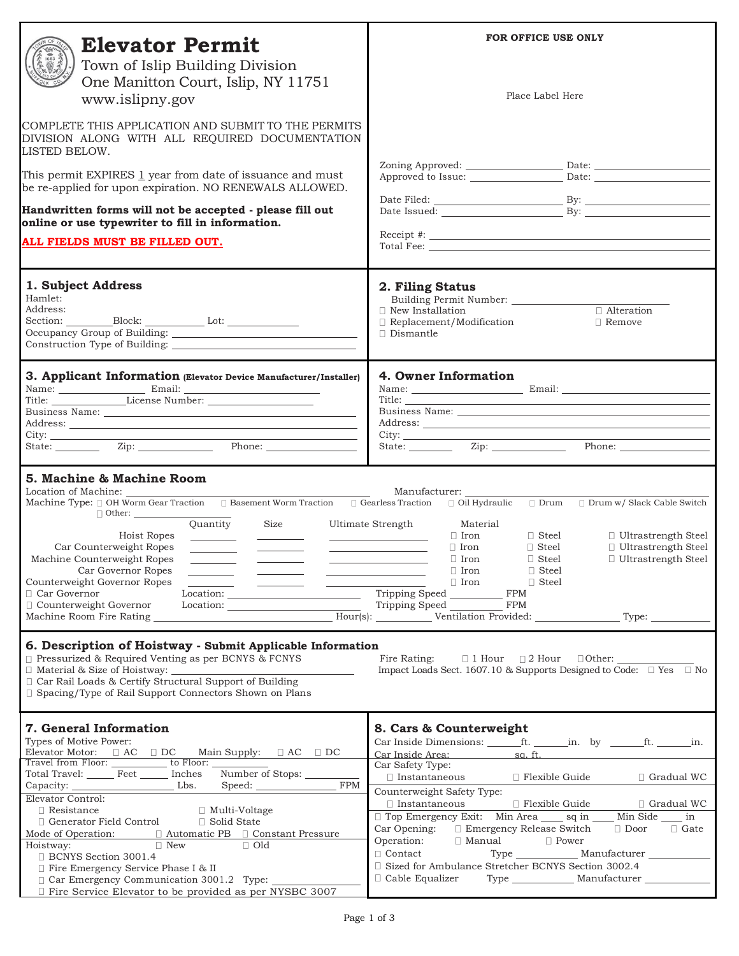| <b>Elevator Permit</b>                                                                                                                                                                                                                                                                                                                                                                                                                                                                                                                                                                                                                                                                                                                                                                                                                                                                                                                                                                                                                                               | FOR OFFICE USE ONLY                                                                                                                                                                                                                                                                                                                                                                                                                                                                                                                                               |
|----------------------------------------------------------------------------------------------------------------------------------------------------------------------------------------------------------------------------------------------------------------------------------------------------------------------------------------------------------------------------------------------------------------------------------------------------------------------------------------------------------------------------------------------------------------------------------------------------------------------------------------------------------------------------------------------------------------------------------------------------------------------------------------------------------------------------------------------------------------------------------------------------------------------------------------------------------------------------------------------------------------------------------------------------------------------|-------------------------------------------------------------------------------------------------------------------------------------------------------------------------------------------------------------------------------------------------------------------------------------------------------------------------------------------------------------------------------------------------------------------------------------------------------------------------------------------------------------------------------------------------------------------|
| Town of Islip Building Division<br>One Manitton Court, Islip, NY 11751<br>www.islipny.gov                                                                                                                                                                                                                                                                                                                                                                                                                                                                                                                                                                                                                                                                                                                                                                                                                                                                                                                                                                            | Place Label Here                                                                                                                                                                                                                                                                                                                                                                                                                                                                                                                                                  |
| COMPLETE THIS APPLICATION AND SUBMIT TO THE PERMITS<br>DIVISION ALONG WITH ALL REQUIRED DOCUMENTATION<br>LISTED BELOW.                                                                                                                                                                                                                                                                                                                                                                                                                                                                                                                                                                                                                                                                                                                                                                                                                                                                                                                                               |                                                                                                                                                                                                                                                                                                                                                                                                                                                                                                                                                                   |
| This permit EXPIRES 1 year from date of issuance and must<br>be re-applied for upon expiration. NO RENEWALS ALLOWED.                                                                                                                                                                                                                                                                                                                                                                                                                                                                                                                                                                                                                                                                                                                                                                                                                                                                                                                                                 |                                                                                                                                                                                                                                                                                                                                                                                                                                                                                                                                                                   |
| Handwritten forms will not be accepted - please fill out<br>online or use typewriter to fill in information.                                                                                                                                                                                                                                                                                                                                                                                                                                                                                                                                                                                                                                                                                                                                                                                                                                                                                                                                                         |                                                                                                                                                                                                                                                                                                                                                                                                                                                                                                                                                                   |
| ALL FIELDS MUST BE FILLED OUT.                                                                                                                                                                                                                                                                                                                                                                                                                                                                                                                                                                                                                                                                                                                                                                                                                                                                                                                                                                                                                                       |                                                                                                                                                                                                                                                                                                                                                                                                                                                                                                                                                                   |
| 1. Subject Address<br>Hamlet:<br>Address:<br>Section: ___________Block: _____________________Lot: ____________________________                                                                                                                                                                                                                                                                                                                                                                                                                                                                                                                                                                                                                                                                                                                                                                                                                                                                                                                                       | 2. Filing Status<br>□ Alteration<br>$\Box$ New Installation<br>$\Box$ Replacement/Modification<br>$\Box$ Remove<br>$\Box$ Dismantle                                                                                                                                                                                                                                                                                                                                                                                                                               |
| 3. Applicant Information (Elevator Device Manufacturer/Installer)                                                                                                                                                                                                                                                                                                                                                                                                                                                                                                                                                                                                                                                                                                                                                                                                                                                                                                                                                                                                    | 4. Owner Information                                                                                                                                                                                                                                                                                                                                                                                                                                                                                                                                              |
| State: <u>Zip: Zip: Phone:</u>                                                                                                                                                                                                                                                                                                                                                                                                                                                                                                                                                                                                                                                                                                                                                                                                                                                                                                                                                                                                                                       |                                                                                                                                                                                                                                                                                                                                                                                                                                                                                                                                                                   |
| 5. Machine & Machine Room<br>Location of Machine:<br>Machine Type: 0 OH Worm Gear Traction 0 Basement Worm Traction 0 Gearless Traction<br>Quantity Size<br>Hoist Ropes<br>Car Counterweight Ropes<br>Machine Counterweight Ropes<br>_______<br>Car Governor Ropes<br>Counterweight Governor Ropes<br>$\sim$ 100 $\mu$<br>Location: Tripping Speed FPM<br>□ Car Governor<br>□ Counterweight Governor<br>$\text{Location:}\begin{tabular}{ c c c c } \hline \multicolumn{3}{ c }{\text{Location:}} & \multicolumn{3}{ c }{\text{Location:}} \\ \hline \multicolumn{3}{ c }{\text{Location:}} & \multicolumn{3}{ c }{\text{Location:}} \\ \hline \multicolumn{3}{ c }{\text{Location:}} & \multicolumn{3}{ c }{\text{Action:}} \\ \hline \multicolumn{3}{ c }{\text{Location:}} & \multicolumn{3}{ c }{\text{Action:}} \\ \hline \multicolumn{3}{ c }{\text{Location:}} & \multicolumn{3}{ c }{\text{Action:}} \\ \hline \$<br>Machine Room Fire Rating __________________________________Hour(s): ____________Ventilation Provided: _______________Type: ____________ | Manufacturer: ________<br>$\Box$ Oil Hydraulic $\Box$ Drum $\Box$ Drum w/ Slack Cable Switch<br>Material<br>Ultimate Strength<br>$\Box$ Iron<br>$\Box$ Steel<br>$\Box$ Ultrastrength Steel<br>$\Box$ Ultrastrength Steel<br>$\Box$ Iron<br>$\Box$ Steel<br>$\Box$ Ultrastrength Steel<br>$\Box$ Iron<br>$\Box$ Steel<br>$\Box$ Iron<br>$\Box$ Steel<br><u> The Communication of the Communication</u><br>$\Box$ Iron<br>$\Box$ Steel<br>Tripping Speed ____________ FPM                                                                                           |
| 6. Description of Hoistway - Submit Applicable Information<br>□ Pressurized & Required Venting as per BCNYS & FCNYS<br>Car Rail Loads & Certify Structural Support of Building<br>□ Spacing/Type of Rail Support Connectors Shown on Plans                                                                                                                                                                                                                                                                                                                                                                                                                                                                                                                                                                                                                                                                                                                                                                                                                           | Impact Loads Sect. 1607.10 & Supports Designed to Code: $\square$ Yes $\square$ No                                                                                                                                                                                                                                                                                                                                                                                                                                                                                |
| 7. General Information<br>Types of Motive Power:<br>Total Travel: Feet ______ Inches Number of Stops: _____<br>FPM<br>Elevator Control:                                                                                                                                                                                                                                                                                                                                                                                                                                                                                                                                                                                                                                                                                                                                                                                                                                                                                                                              | 8. Cars & Counterweight<br>Car Inside Area: sq. ft.<br>Car Safety Type:<br>$\hfill\Box$ Instantaneous $\hfill\Box$<br>Flexible Guide<br>$\Box$ Gradual WC<br>Counterweight Safety Type:                                                                                                                                                                                                                                                                                                                                                                           |
| $\Box$ Resistance<br>$\Box$ Multi-Voltage<br>$\Box$ Generator Field Control<br>□ Solid State<br>Mode of Operation: $\Box$ Automatic PB $\Box$ Constant Pressure<br><u>and the second second second</u><br>$\Box$ New<br>$\Box$ Old<br>Hoistway:<br>□ BCNYS Section 3001.4<br>□ Fire Emergency Service Phase I & II                                                                                                                                                                                                                                                                                                                                                                                                                                                                                                                                                                                                                                                                                                                                                   | $\Box$ Instantaneous $\Box$ Flexible Guide $\Box$ Gradual WC<br>□ Top Emergency Exit: Min Area _____ sq in _____ Min Side _____ in<br>$\Box$ Door $\Box$ Gate<br>Car Opening: □ Emergency Release Switch<br>Operation:<br>$\begin{tabular}{ll} $\Box$ Manual & $\Box$ Power \\ Type & \hline \multicolumn{3}{l}{\begin{tabular}{l} \hline $M$} \end{tabular} & $\Box$ Power \\ \hline \end{tabular} \end{tabular}$<br>$\Box$ Contact<br>$\Box$ Sized for Ambulance Stretcher BCNYS Section 3002.4<br>Cable Equalizer Type ____________ Manufacturer _____________ |
| Car Emergency Communication 3001.2 Type:<br>$\Box$ Fire Service Elevator to be provided as per NYSBC 3007                                                                                                                                                                                                                                                                                                                                                                                                                                                                                                                                                                                                                                                                                                                                                                                                                                                                                                                                                            |                                                                                                                                                                                                                                                                                                                                                                                                                                                                                                                                                                   |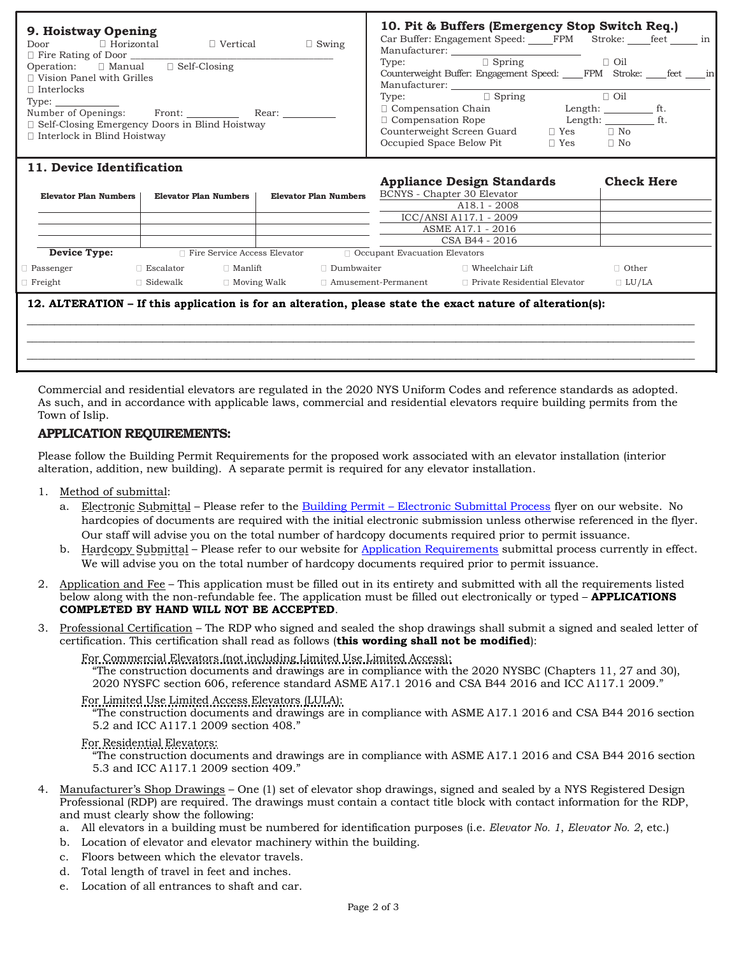| 9. Hoistway Opening                                                                                                                                                            | 10. Pit & Buffers (Emergency Stop Switch Req.)                                                                                                                                                                                              |
|--------------------------------------------------------------------------------------------------------------------------------------------------------------------------------|---------------------------------------------------------------------------------------------------------------------------------------------------------------------------------------------------------------------------------------------|
| $\Box$ Horizontal<br>$\Box$ Swing<br>$\Box$ Vertical<br>Door<br>$\Box$ Fire Rating of Door<br>Operation: $\Box$ Manual $\Box$ Self-Closing<br>$\Box$ Vision Panel with Grilles | Car Buffer: Engagement Speed: FPM Stroke: _____ feet _______ in<br>Manufacturer:<br>$\Box$ Spring<br>$\Box$ Oil<br>Type:<br>Counterweight Buffer: Engagement Speed: FPM Stroke: feet in<br>Manufacturer:                                    |
| $\Box$ Interlocks<br>Type:<br>Number of Openings:<br>Front:<br>Rear:<br>$\Box$ Self-Closing Emergency Doors in Blind Hoistway<br>$\Box$ Interlock in Blind Hoistway            | $\Box$ Spring<br>$\Box$ Oil<br>Type:<br>$\Box$ Compensation Chain<br>Length: ft.<br>$\Box$ Compensation Rope<br>Length: ft.<br>Counterweight Screen Guard<br>$\Box$ No<br>$\Box$ Yes<br>Occupied Space Below Pit<br>$\Box$ No<br>$\Box$ Yes |

### **11. Device Identification**

|                                |                       |                                     |                              |                                 | <b>Appliance Design Standards</b>   | <b>Check Here</b> |
|--------------------------------|-----------------------|-------------------------------------|------------------------------|---------------------------------|-------------------------------------|-------------------|
| Elevator Plan Numbers          | Elevator Plan Numbers |                                     | <b>Elevator Plan Numbers</b> |                                 | BCNYS - Chapter 30 Elevator         |                   |
|                                |                       |                                     |                              |                                 | $A18.1 - 2008$                      |                   |
|                                |                       |                                     |                              |                                 | ICC/ANSI A117.1 - 2009              |                   |
|                                |                       |                                     |                              |                                 | ASME A17.1 - 2016                   |                   |
|                                |                       |                                     |                              |                                 | CSA B44 - 2016                      |                   |
| Device Type:                   |                       | $\Box$ Fire Service Access Elevator |                              | □ Occupant Evacuation Elevators |                                     |                   |
| Passenger                      | Escalator             | $\Box$ Manlift                      | $\Box$ Dumbwaiter            |                                 | Wheelchair Lift                     | $\Box$ Other      |
| Freight                        | Sidewalk              | $\Box$ Moving Walk                  | $\Box$ Amusement-Permanent   |                                 | $\Box$ Private Residential Elevator | $\Box$ LU/LA      |
| -- -- <b>---</b> -- <b>---</b> | -- - - -              | .                                   |                              | .                               |                                     |                   |

### **12. ALTERATION – If this application is for an alteration, please state the exact nature of alteration(s):**

Commercial and residential elevators are regulated in the 2020 NYS Uniform Codes and reference standards as adopted. As such, and in accordance with applicable laws, commercial and residential elevators require building permits from the Town of Islip.

## **APPLICATION REQUIREMENTS:**

Please follow the Building Permit Requirements for the proposed work associated with an elevator installation (interior alteration, addition, new building). A separate permit is required for any elevator installation.

- 1. Method of submittal:
	- a. Electronic Submittal Please refer to the Building Permit – [Electronic Submittal Process](https://islipny.gov/building-division-permits-list/986-document-upload-instructions-for-electronic-submissions-building/file) flyer on our website. No hardcopies of documents are required with the initial electronic submission unless otherwise referenced in the flyer. Our staff will advise you on the total number of hardcopy documents required prior to permit issuance.
	- b. Hardcopy Submittal Please refer to our website for [Application Requirements](https://islipny.gov/community-and-services/documents/planning-development/980-planning-development-temporary-application-process-requirements-during-covid-19-pandemic/file) submittal process currently in effect. We will advise you on the total number of hardcopy documents required prior to permit issuance.
- 2. Application and Fee This application must be filled out in its entirety and submitted with all the requirements listed below along with the non-refundable fee. The application must be filled out electronically or typed – **APPLICATIONS COMPLETED BY HAND WILL NOT BE ACCEPTED**.
- 3. Professional Certification The RDP who signed and sealed the shop drawings shall submit a signed and sealed letter of certification. This certification shall read as follows (**this wording shall not be modified**):

#### For Commercial Elevators (not including Limited Use Limited Access):

The construction documents and drawings are in compliance with the 2020 NYSBC (Chapters 11, 27 and 30), 2020 NYSFC section 606, reference standard ASME A17.1 2016 and CSA B44 2016 and ICC A117.1 2009."

## For Limited Use Limited Access Elevators (LULA):

"The construction documents and drawings are in compliance with ASME A17.1 2016 and CSA B44 2016 section 5.2 and ICC A117.1 2009 section 408."

### For Residential Elevators:

"The construction documents and drawings are in compliance with ASME A17.1 2016 and CSA B44 2016 section 5.3 and ICC A117.1 2009 section 409."

- 4. Manufacturer's Shop Drawings One (1) set of elevator shop drawings, signed and sealed by a NYS Registered Design Professional (RDP) are required. The drawings must contain a contact title block with contact information for the RDP, and must clearly show the following:
	- a. All elevators in a building must be numbered for identification purposes (i.e. *Elevator No. 1*, *Elevator No. 2*, etc.)
	- b. Location of elevator and elevator machinery within the building.
	- c. Floors between which the elevator travels.
	- d. Total length of travel in feet and inches.
	- e. Location of all entrances to shaft and car.